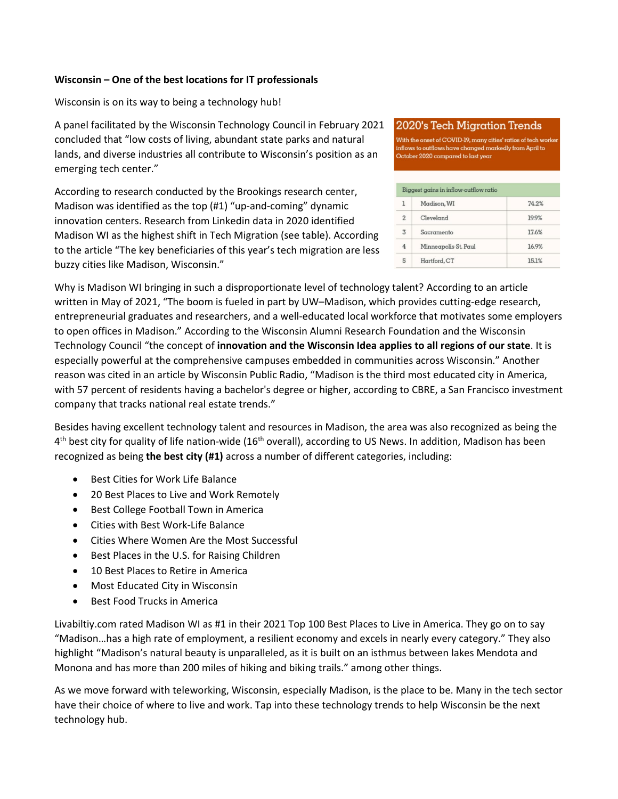## **Wisconsin – One of the best locations for IT professionals**

Wisconsin is on its way to being a technology hub!

A panel facilitated by the Wisconsin Technology Council in February 2021 concluded that "low costs of living, abundant state parks and natural lands, and diverse industries all contribute to Wisconsin's position as an emerging tech center."

According to research conducted by the Brookings research center, Madison was identified as the top (#1) "up-and-coming" dynamic innovation centers. Research from Linkedin data in 2020 identified Madison WI as the highest shift in Tech Migration (see table). According to the article "The key beneficiaries of this year's tech migration are less buzzy cities like Madison, Wisconsin."

## 2020's Tech Migration Trends

With the onset of COVID-19, many cities' ratios of tech worker<br>inflows to outflows have changed markedly from April to<br>October 2020 compared to last year

| Biggest gains in inflow-outflow ratio |                      |       |
|---------------------------------------|----------------------|-------|
| 1                                     | Madison, WI          | 74.2% |
| $\overline{2}$                        | Cleveland            | 19.9% |
| 3                                     | Sacramento           | 17.6% |
| 4                                     | Minneapolis-St. Paul | 16.9% |
| 5                                     | Hartford, CT         | 15.1% |

Why is Madison WI bringing in such a disproportionate level of technology talent? According to an article written in May of 2021, "The boom is fueled in part by UW–Madison, which provides cutting-edge research, entrepreneurial graduates and researchers, and a well-educated local workforce that motivates some employers to open offices in Madison." According to the Wisconsin Alumni Research Foundation and the Wisconsin Technology Council "the concept of **innovation and the Wisconsin Idea applies to all regions of our state**. It is especially powerful at the comprehensive campuses embedded in communities across Wisconsin." Another reason was cited in an article by Wisconsin Public Radio, "Madison is the third most educated city in America, with 57 percent of residents having a bachelor's degree or higher, according to CBRE, a San Francisco investment company that tracks national real estate trends."

Besides having excellent technology talent and resources in Madison, the area was also recognized as being the  $4<sup>th</sup>$  best city for quality of life nation-wide (16<sup>th</sup> overall), according to US News. In addition, Madison has been recognized as being **the best city (#1)** across a number of different categories, including:

- Best Cities for Work Life Balance
- 20 Best Places to Live and Work Remotely
- Best College Football Town in America
- Cities with Best Work-Life Balance
- Cities Where Women Are the Most Successful
- Best Places in the U.S. for Raising Children
- 10 Best Places to Retire in America
- Most Educated City in Wisconsin
- Best Food Trucks in America

Livabiltiy.com rated Madison WI as #1 in their 2021 Top 100 Best Places to Live in America. They go on to say "Madison…has a high rate of employment, a resilient economy and excels in nearly every category." They also highlight "Madison's natural beauty is unparalleled, as it is built on an isthmus between lakes Mendota and Monona and has more than 200 miles of hiking and biking trails." among other things.

As we move forward with teleworking, Wisconsin, especially Madison, is the place to be. Many in the tech sector have their choice of where to live and work. Tap into these technology trends to help Wisconsin be the next technology hub.